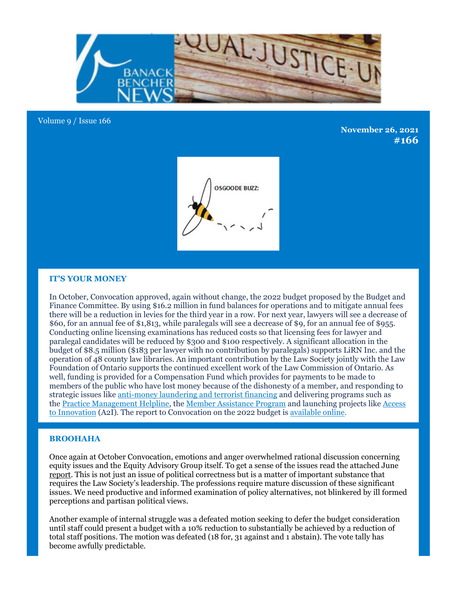

#### Volume 9 / Issue 166

**November 26, 2021 #166**



# **IT'S YOUR MONEY**

In October, Convocation approved, again without change, the 2022 budget proposed by the Budget and Finance Committee. By using \$16.2 million in fund balances for operations and to mitigate annual fees there will be a reduction in levies for the third year in a row. For next year, lawyers will see a decrease of \$60, for an annual fee of \$1,813, while paralegals will see a decrease of \$9, for an annual fee of \$955. Conducting online licensing examinations has reduced costs so that licensing fees for lawyer and paralegal candidates will be reduced by \$300 and \$100 respectively. A significant allocation in the budget of \$8.5 million (\$183 per lawyer with no contribution by paralegals) supports LiRN Inc. and the operation of 48 county law libraries. An important contribution by the Law Society jointly with the Law Foundation of Ontario supports the continued excellent work of the Law Commission of Ontario. As well, funding is provided for a Compensation Fund which provides for payments to be made to members of the public who have lost money because of the dishonesty of a member, and responding to strategic issues like anti-money laundering and terrorist financing and delivering programs such as the Practice Management Helpline, the Member Assistance Program and launching projects like Access to Innovation (A2I). The report to Convocation on the 2022 budget is available online.

## **BROOHAHA**

Once again at October Convocation, emotions and anger overwhelmed rational discussion concerning equity issues and the Equity Advisory Group itself. To get a sense of the issues read the attached June report. This is not just an issue of political correctness but is a matter of important substance that requires the Law Society's leadership. The professions require mature discussion of these significant issues. We need productive and informed examination of policy alternatives, not blinkered by ill formed perceptions and partisan political views.

Another example of internal struggle was a defeated motion seeking to defer the budget consideration until staff could present a budget with a 10% reduction to substantially be achieved by a reduction of total staff positions. The motion was defeated (18 for, 31 against and 1 abstain). The vote tally has become awfully predictable.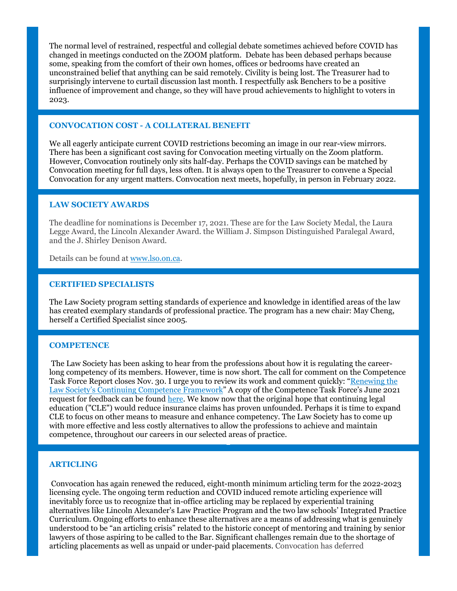The normal level of restrained, respectful and collegial debate sometimes achieved before COVID has changed in meetings conducted on the ZOOM platform. Debate has been debased perhaps because some, speaking from the comfort of their own homes, offices or bedrooms have created an unconstrained belief that anything can be said remotely. Civility is being lost. The Treasurer had to surprisingly intervene to curtail discussion last month. I respectfully ask Benchers to be a positive influence of improvement and change, so they will have proud achievements to highlight to voters in 2023.

# **CONVOCATION COST - A COLLATERAL BENEFIT**

We all eagerly anticipate current COVID restrictions becoming an image in our rear-view mirrors. There has been a significant cost saving for Convocation meeting virtually on the Zoom platform. However, Convocation routinely only sits half-day. Perhaps the COVID savings can be matched by Convocation meeting for full days, less often. It is always open to the Treasurer to convene a Special Convocation for any urgent matters. Convocation next meets, hopefully, in person in February 2022.

## **LAW SOCIETY AWARDS**

The deadline for nominations is December 17, 2021. These are for the Law Society Medal, the Laura Legge Award, the Lincoln Alexander Award. the William J. Simpson Distinguished Paralegal Award, and the J. Shirley Denison Award.

Details can be found at www.lso.on.ca.

#### **CERTIFIED SPECIALISTS**

The Law Society program setting standards of experience and knowledge in identified areas of the law has created exemplary standards of professional practice. The program has a new chair: May Cheng, herself a Certified Specialist since 2005.

## **COMPETENCE**

The Law Society has been asking to hear from the professions about how it is regulating the careerlong competency of its members. However, time is now short. The call for comment on the Competence Task Force Report closes Nov. 30. I urge you to review its work and comment quickly: "Renewing the Law Society's Continuing Competence Framework" A copy of the Competence Task Force's June 2021 request for feedback can be found here. We know now that the original hope that continuing legal education ("CLE") would reduce insurance claims has proven unfounded. Perhaps it is time to expand CLE to focus on other means to measure and enhance competency. The Law Society has to come up with more effective and less costly alternatives to allow the professions to achieve and maintain competence, throughout our careers in our selected areas of practice.

#### **ARTICLING**

Convocation has again renewed the reduced, eight-month minimum articling term for the 2022-2023 licensing cycle. The ongoing term reduction and COVID induced remote articling experience will inevitably force us to recognize that in-office articling may be replaced by experiential training alternatives like Lincoln Alexander's Law Practice Program and the two law schools' Integrated Practice Curriculum. Ongoing efforts to enhance these alternatives are a means of addressing what is genuinely understood to be "an articling crisis" related to the historic concept of mentoring and training by senior lawyers of those aspiring to be called to the Bar. Significant challenges remain due to the shortage of articling placements as well as unpaid or under-paid placements. Convocation has deferred